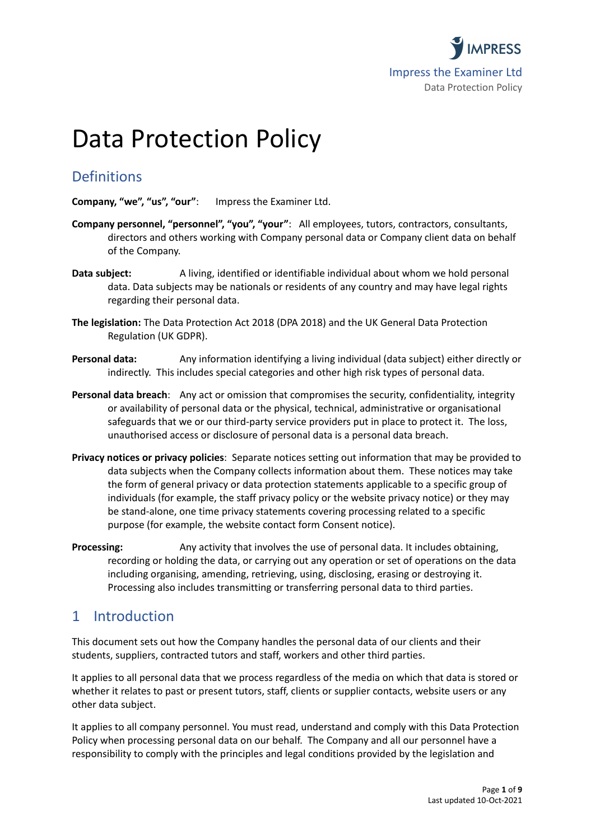

# Data Protection Policy

# **Definitions**

**Company, "we", "us", "our"**: Impress the Examiner Ltd.

- **Company personnel, "personnel", "you", "your"**: All employees, tutors, contractors, consultants, directors and others working with Company personal data or Company client data on behalf of the Company.
- **Data subject:** A living, identified or identifiable individual about whom we hold personal data. Data subjects may be nationals or residents of any country and may have legal rights regarding their personal data.
- **The legislation:** The Data Protection Act 2018 (DPA 2018) and the UK General Data Protection Regulation (UK GDPR).
- **Personal data:** Any information identifying a living individual (data subject) either directly or indirectly. This includes special categories and other high risk types of personal data.
- **Personal data breach**: Any act or omission that compromises the security, confidentiality, integrity or availability of personal data or the physical, technical, administrative or organisational safeguards that we or our third-party service providers put in place to protect it. The loss, unauthorised access or disclosure of personal data is a personal data breach.
- **Privacy notices or privacy policies**: Separate notices setting out information that may be provided to data subjects when the Company collects information about them. These notices may take the form of general privacy or data protection statements applicable to a specific group of individuals (for example, the staff privacy policy or the website privacy notice) or they may be stand-alone, one time privacy statements covering processing related to a specific purpose (for example, the website contact form Consent notice).
- **Processing:** Any activity that involves the use of personal data. It includes obtaining, recording or holding the data, or carrying out any operation or set of operations on the data including organising, amending, retrieving, using, disclosing, erasing or destroying it. Processing also includes transmitting or transferring personal data to third parties.

# 1 Introduction

This document sets out how the Company handles the personal data of our clients and their students, suppliers, contracted tutors and staff, workers and other third parties.

It applies to all personal data that we process regardless of the media on which that data is stored or whether it relates to past or present tutors, staff, clients or supplier contacts, website users or any other data subject.

It applies to all company personnel. You must read, understand and comply with this Data Protection Policy when processing personal data on our behalf. The Company and all our personnel have a responsibility to comply with the principles and legal conditions provided by the legislation and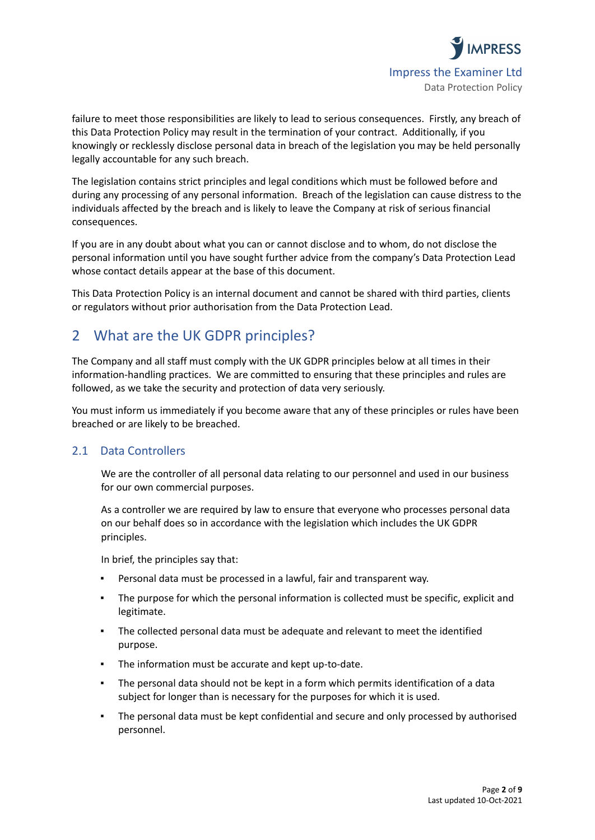

failure to meet those responsibilities are likely to lead to serious consequences. Firstly, any breach of this Data Protection Policy may result in the termination of your contract. Additionally, if you knowingly or recklessly disclose personal data in breach of the legislation you may be held personally legally accountable for any such breach.

The legislation contains strict principles and legal conditions which must be followed before and during any processing of any personal information. Breach of the legislation can cause distress to the individuals affected by the breach and is likely to leave the Company at risk of serious financial consequences.

If you are in any doubt about what you can or cannot disclose and to whom, do not disclose the personal information until you have sought further advice from the company's Data Protection Lead whose contact details appear at the base of this document.

This Data Protection Policy is an internal document and cannot be shared with third parties, clients or regulators without prior authorisation from the Data Protection Lead.

# 2 What are the UK GDPR principles?

The Company and all staff must comply with the UK GDPR principles below at all times in their information-handling practices. We are committed to ensuring that these principles and rules are followed, as we take the security and protection of data very seriously.

You must inform us immediately if you become aware that any of these principles or rules have been breached or are likely to be breached.

## 2.1 Data Controllers

We are the controller of all personal data relating to our personnel and used in our business for our own commercial purposes.

As a controller we are required by law to ensure that everyone who processes personal data on our behalf does so in accordance with the legislation which includes the UK GDPR principles.

In brief, the principles say that:

- Personal data must be processed in a lawful, fair and transparent way.
- The purpose for which the personal information is collected must be specific, explicit and legitimate.
- The collected personal data must be adequate and relevant to meet the identified purpose.
- The information must be accurate and kept up-to-date.
- The personal data should not be kept in a form which permits identification of a data subject for longer than is necessary for the purposes for which it is used.
- The personal data must be kept confidential and secure and only processed by authorised personnel.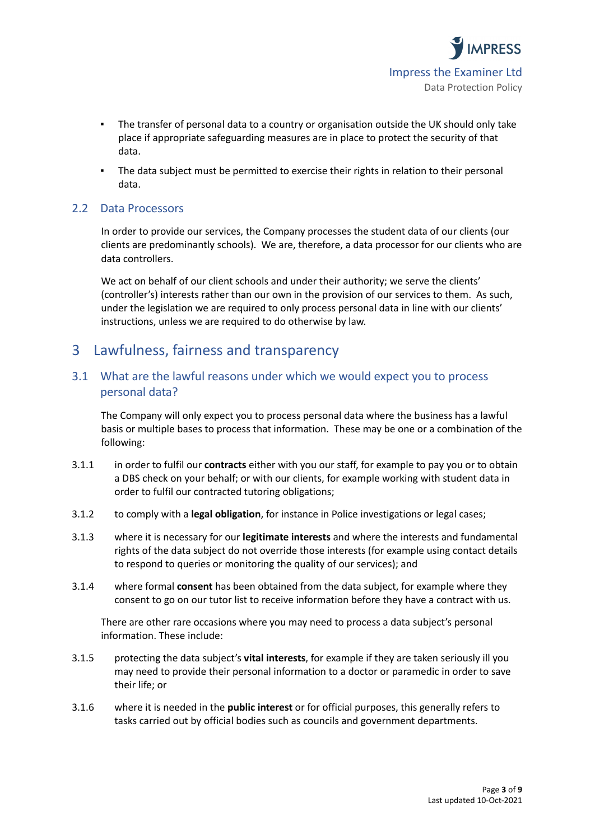

- The transfer of personal data to a country or organisation outside the UK should only take place if appropriate safeguarding measures are in place to protect the security of that data.
- The data subject must be permitted to exercise their rights in relation to their personal data.

#### 2.2 Data Processors

In order to provide our services, the Company processes the student data of our clients (our clients are predominantly schools). We are, therefore, a data processor for our clients who are data controllers.

We act on behalf of our client schools and under their authority; we serve the clients' (controller's) interests rather than our own in the provision of our services to them. As such, under the legislation we are required to only process personal data in line with our clients' instructions, unless we are required to do otherwise by law.

## 3 Lawfulness, fairness and transparency

## 3.1 What are the lawful reasons under which we would expect you to process personal data?

The Company will only expect you to process personal data where the business has a lawful basis or multiple bases to process that information. These may be one or a combination of the following:

- 3.1.1 in order to fulfil our **contracts** either with you our staff, for example to pay you or to obtain a DBS check on your behalf; or with our clients, for example working with student data in order to fulfil our contracted tutoring obligations;
- 3.1.2 to comply with a **legal obligation**, for instance in Police investigations or legal cases;
- 3.1.3 where it is necessary for our **legitimate interests** and where the interests and fundamental rights of the data subject do not override those interests (for example using contact details to respond to queries or monitoring the quality of our services); and
- 3.1.4 where formal **consent** has been obtained from the data subject, for example where they consent to go on our tutor list to receive information before they have a contract with us.

There are other rare occasions where you may need to process a data subject's personal information. These include:

- 3.1.5 protecting the data subject's **vital interests**, for example if they are taken seriously ill you may need to provide their personal information to a doctor or paramedic in order to save their life; or
- 3.1.6 where it is needed in the **public interest** or for official purposes, this generally refers to tasks carried out by official bodies such as councils and government departments.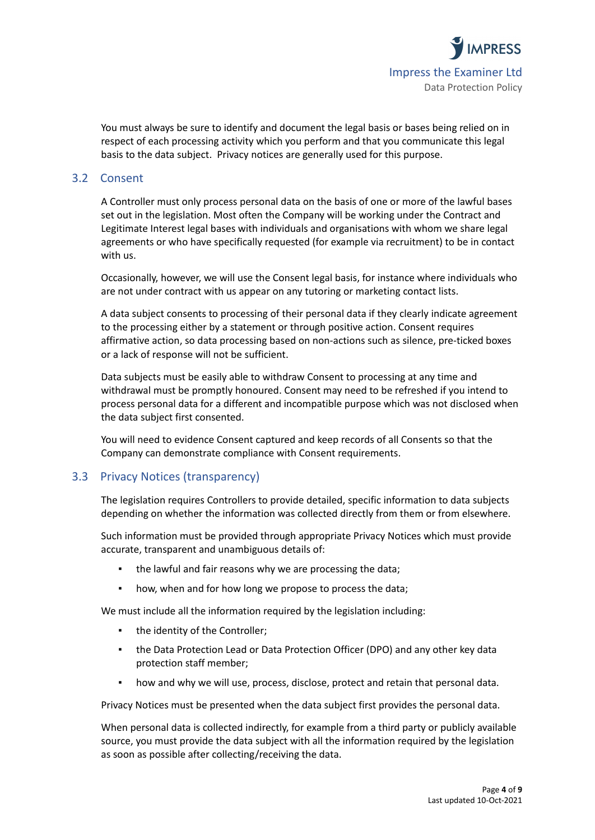

You must always be sure to identify and document the legal basis or bases being relied on in respect of each processing activity which you perform and that you communicate this legal basis to the data subject. Privacy notices are generally used for this purpose.

## 3.2 Consent

A Controller must only process personal data on the basis of one or more of the lawful bases set out in the legislation. Most often the Company will be working under the Contract and Legitimate Interest legal bases with individuals and organisations with whom we share legal agreements or who have specifically requested (for example via recruitment) to be in contact with us.

Occasionally, however, we will use the Consent legal basis, for instance where individuals who are not under contract with us appear on any tutoring or marketing contact lists.

A data subject consents to processing of their personal data if they clearly indicate agreement to the processing either by a statement or through positive action. Consent requires affirmative action, so data processing based on non-actions such as silence, pre-ticked boxes or a lack of response will not be sufficient.

Data subjects must be easily able to withdraw Consent to processing at any time and withdrawal must be promptly honoured. Consent may need to be refreshed if you intend to process personal data for a different and incompatible purpose which was not disclosed when the data subject first consented.

You will need to evidence Consent captured and keep records of all Consents so that the Company can demonstrate compliance with Consent requirements.

## 3.3 Privacy Notices (transparency)

The legislation requires Controllers to provide detailed, specific information to data subjects depending on whether the information was collected directly from them or from elsewhere.

Such information must be provided through appropriate Privacy Notices which must provide accurate, transparent and unambiguous details of:

- the lawful and fair reasons why we are processing the data;
- how, when and for how long we propose to process the data;

We must include all the information required by the legislation including:

- the identity of the Controller;
- the Data Protection Lead or Data Protection Officer (DPO) and any other key data protection staff member;
- how and why we will use, process, disclose, protect and retain that personal data.

Privacy Notices must be presented when the data subject first provides the personal data.

When personal data is collected indirectly, for example from a third party or publicly available source, you must provide the data subject with all the information required by the legislation as soon as possible after collecting/receiving the data.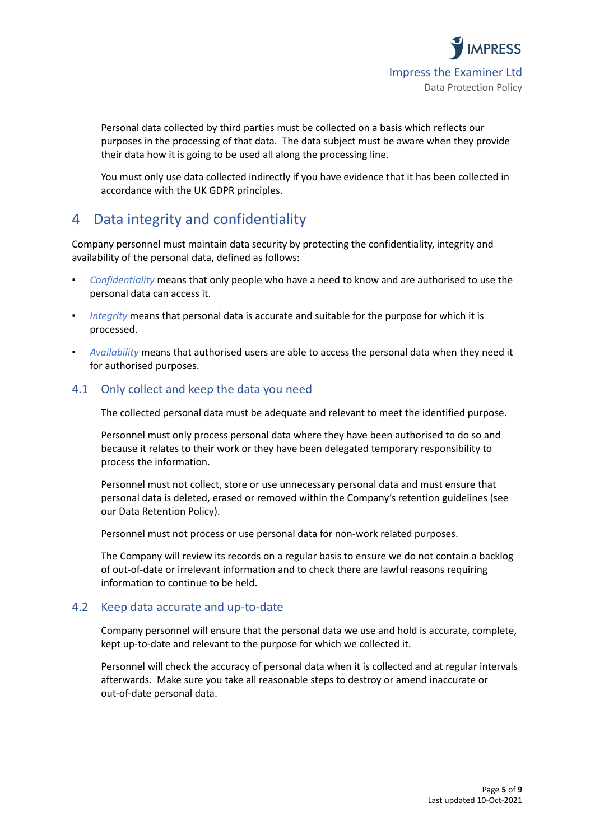

Personal data collected by third parties must be collected on a basis which reflects our purposes in the processing of that data. The data subject must be aware when they provide their data how it is going to be used all along the processing line.

You must only use data collected indirectly if you have evidence that it has been collected in accordance with the UK GDPR principles.

# 4 Data integrity and confidentiality

Company personnel must maintain data security by protecting the confidentiality, integrity and availability of the personal data, defined as follows:

- *Confidentiality* means that only people who have a need to know and are authorised to use the personal data can access it.
- *Integrity* means that personal data is accurate and suitable for the purpose for which it is processed.
- Availability means that authorised users are able to access the personal data when they need it for authorised purposes.

## 4.1 Only collect and keep the data you need

The collected personal data must be adequate and relevant to meet the identified purpose.

Personnel must only process personal data where they have been authorised to do so and because it relates to their work or they have been delegated temporary responsibility to process the information.

Personnel must not collect, store or use unnecessary personal data and must ensure that personal data is deleted, erased or removed within the Company's retention guidelines (see our Data Retention Policy).

Personnel must not process or use personal data for non-work related purposes.

The Company will review its records on a regular basis to ensure we do not contain a backlog of out-of-date or irrelevant information and to check there are lawful reasons requiring information to continue to be held.

## 4.2 Keep data accurate and up-to-date

Company personnel will ensure that the personal data we use and hold is accurate, complete, kept up-to-date and relevant to the purpose for which we collected it.

Personnel will check the accuracy of personal data when it is collected and at regular intervals afterwards. Make sure you take all reasonable steps to destroy or amend inaccurate or out-of-date personal data.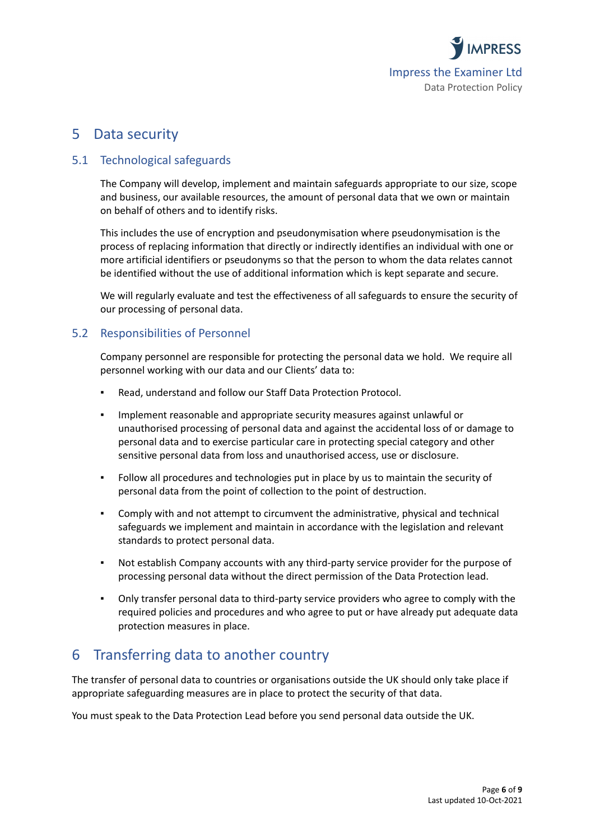

## 5 Data security

## 5.1 Technological safeguards

The Company will develop, implement and maintain safeguards appropriate to our size, scope and business, our available resources, the amount of personal data that we own or maintain on behalf of others and to identify risks.

This includes the use of encryption and pseudonymisation where pseudonymisation is the process of replacing information that directly or indirectly identifies an individual with one or more artificial identifiers or pseudonyms so that the person to whom the data relates cannot be identified without the use of additional information which is kept separate and secure.

We will regularly evaluate and test the effectiveness of all safeguards to ensure the security of our processing of personal data.

## 5.2 Responsibilities of Personnel

Company personnel are responsible for protecting the personal data we hold. We require all personnel working with our data and our Clients' data to:

- Read, understand and follow our Staff Data Protection Protocol.
- Implement reasonable and appropriate security measures against unlawful or unauthorised processing of personal data and against the accidental loss of or damage to personal data and to exercise particular care in protecting special category and other sensitive personal data from loss and unauthorised access, use or disclosure.
- Follow all procedures and technologies put in place by us to maintain the security of personal data from the point of collection to the point of destruction.
- Comply with and not attempt to circumvent the administrative, physical and technical safeguards we implement and maintain in accordance with the legislation and relevant standards to protect personal data.
- Not establish Company accounts with any third-party service provider for the purpose of processing personal data without the direct permission of the Data Protection lead.
- Only transfer personal data to third-party service providers who agree to comply with the required policies and procedures and who agree to put or have already put adequate data protection measures in place.

# 6 Transferring data to another country

The transfer of personal data to countries or organisations outside the UK should only take place if appropriate safeguarding measures are in place to protect the security of that data.

You must speak to the Data Protection Lead before you send personal data outside the UK.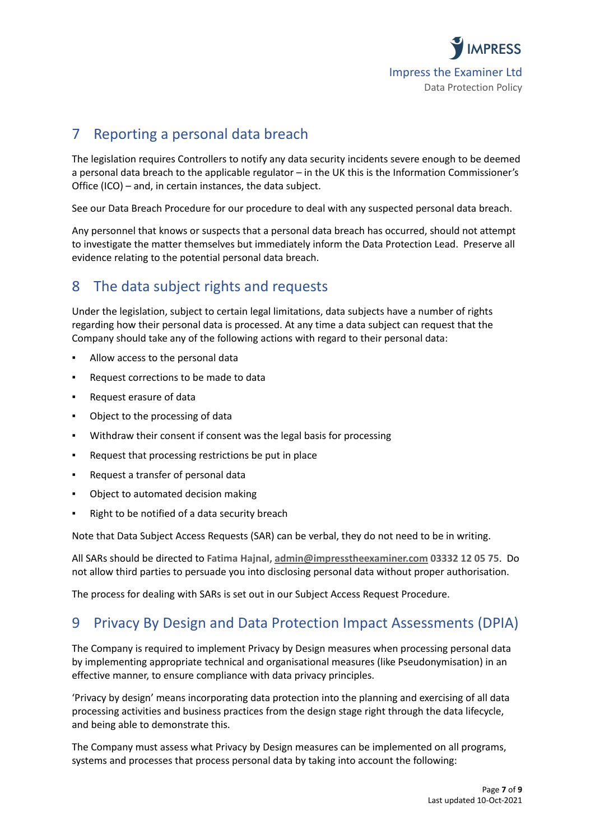

# 7 Reporting a personal data breach

The legislation requires Controllers to notify any data security incidents severe enough to be deemed a personal data breach to the applicable regulator – in the UK this is the Information Commissioner's Office (ICO) – and, in certain instances, the data subject.

See our Data Breach Procedure for our procedure to deal with any suspected personal data breach.

Any personnel that knows or suspects that a personal data breach has occurred, should not attempt to investigate the matter themselves but immediately inform the Data Protection Lead. Preserve all evidence relating to the potential personal data breach.

# 8 The data subject rights and requests

Under the legislation, subject to certain legal limitations, data subjects have a number of rights regarding how their personal data is processed. At any time a data subject can request that the Company should take any of the following actions with regard to their personal data:

- Allow access to the personal data
- Request corrections to be made to data
- Request erasure of data
- Object to the processing of data
- Withdraw their consent if consent was the legal basis for processing
- Request that processing restrictions be put in place
- Request a transfer of personal data
- Object to automated decision making
- Right to be notified of a data security breach

Note that Data Subject Access Requests (SAR) can be verbal, they do not need to be in writing.

All SARs should be directed to **Fatima Hajnal, [admin@impresstheexaminer.com](mailto:admin@impresstheexaminer.com) 03332 12 05 75**. Do not allow third parties to persuade you into disclosing personal data without proper authorisation.

The process for dealing with SARs is set out in our Subject Access Request Procedure.

# 9 Privacy By Design and Data Protection Impact Assessments (DPIA)

The Company is required to implement Privacy by Design measures when processing personal data by implementing appropriate technical and organisational measures (like Pseudonymisation) in an effective manner, to ensure compliance with data privacy principles.

'Privacy by design' means incorporating data protection into the planning and exercising of all data processing activities and business practices from the design stage right through the data lifecycle, and being able to demonstrate this.

The Company must assess what Privacy by Design measures can be implemented on all programs, systems and processes that process personal data by taking into account the following: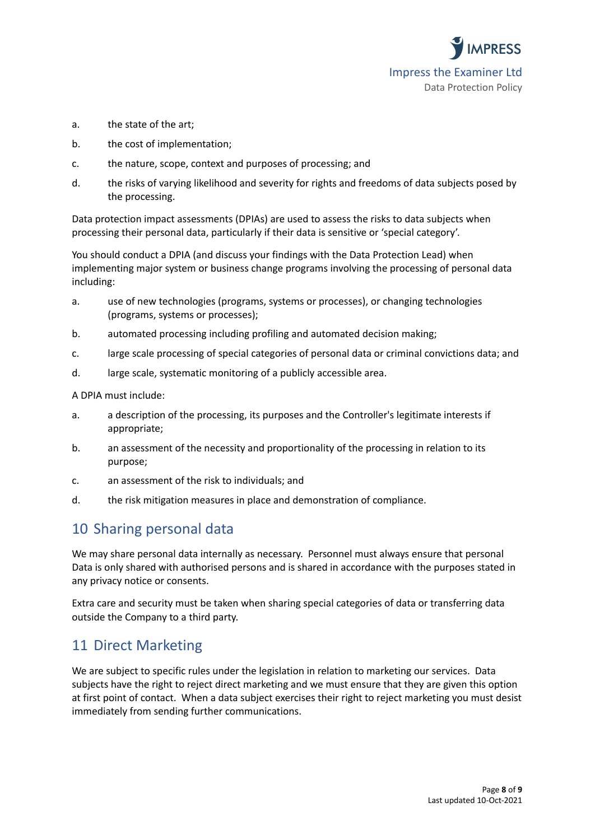

- a. the state of the art;
- b. the cost of implementation;
- c. the nature, scope, context and purposes of processing; and
- d. the risks of varying likelihood and severity for rights and freedoms of data subjects posed by the processing.

Data protection impact assessments (DPIAs) are used to assess the risks to data subjects when processing their personal data, particularly if their data is sensitive or 'special category'.

You should conduct a DPIA (and discuss your findings with the Data Protection Lead) when implementing major system or business change programs involving the processing of personal data including:

- a. use of new technologies (programs, systems or processes), or changing technologies (programs, systems or processes);
- b. automated processing including profiling and automated decision making;
- c. large scale processing of special categories of personal data or criminal convictions data; and
- d. large scale, systematic monitoring of a publicly accessible area.

A DPIA must include:

- a. a description of the processing, its purposes and the Controller's legitimate interests if appropriate;
- b. an assessment of the necessity and proportionality of the processing in relation to its purpose;
- c. an assessment of the risk to individuals; and
- d. the risk mitigation measures in place and demonstration of compliance.

## 10 Sharing personal data

We may share personal data internally as necessary. Personnel must always ensure that personal Data is only shared with authorised persons and is shared in accordance with the purposes stated in any privacy notice or consents.

Extra care and security must be taken when sharing special categories of data or transferring data outside the Company to a third party.

## 11 Direct Marketing

We are subject to specific rules under the legislation in relation to marketing our services. Data subjects have the right to reject direct marketing and we must ensure that they are given this option at first point of contact. When a data subject exercises their right to reject marketing you must desist immediately from sending further communications.